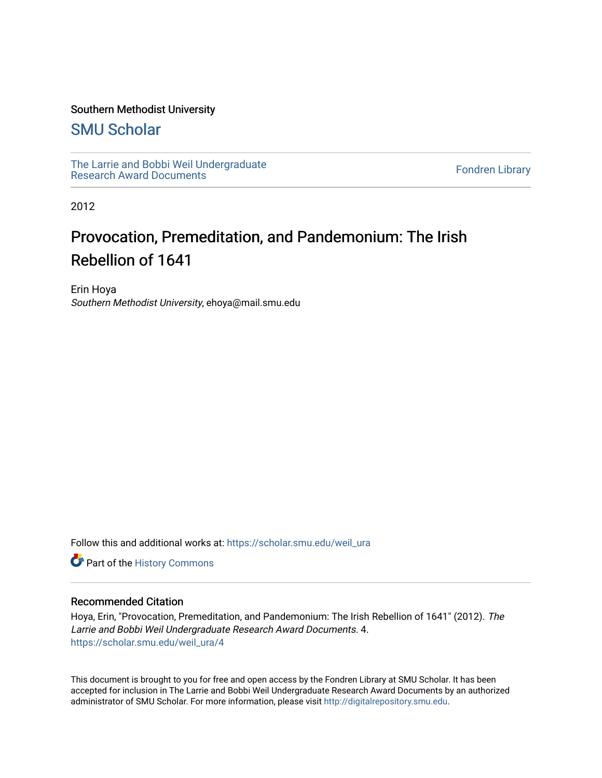### Southern Methodist University

### [SMU Scholar](https://scholar.smu.edu/)

[The Larrie and Bobbi Weil Undergraduate](https://scholar.smu.edu/weil_ura) The Lattle and Bobbi wen Undergraduate<br>[Research Award Documents](https://scholar.smu.edu/weil_ura)

2012

### Provocation, Premeditation, and Pandemonium: The Irish Rebellion of 1641

Erin Hoya Southern Methodist University, ehoya@mail.smu.edu

Follow this and additional works at: [https://scholar.smu.edu/weil\\_ura](https://scholar.smu.edu/weil_ura?utm_source=scholar.smu.edu%2Fweil_ura%2F4&utm_medium=PDF&utm_campaign=PDFCoverPages)

Part of the [History Commons](http://network.bepress.com/hgg/discipline/489?utm_source=scholar.smu.edu%2Fweil_ura%2F4&utm_medium=PDF&utm_campaign=PDFCoverPages) 

### Recommended Citation

Hoya, Erin, "Provocation, Premeditation, and Pandemonium: The Irish Rebellion of 1641" (2012). The Larrie and Bobbi Weil Undergraduate Research Award Documents. 4. [https://scholar.smu.edu/weil\\_ura/4](https://scholar.smu.edu/weil_ura/4?utm_source=scholar.smu.edu%2Fweil_ura%2F4&utm_medium=PDF&utm_campaign=PDFCoverPages) 

This document is brought to you for free and open access by the Fondren Library at SMU Scholar. It has been accepted for inclusion in The Larrie and Bobbi Weil Undergraduate Research Award Documents by an authorized administrator of SMU Scholar. For more information, please visit [http://digitalrepository.smu.edu](http://digitalrepository.smu.edu/).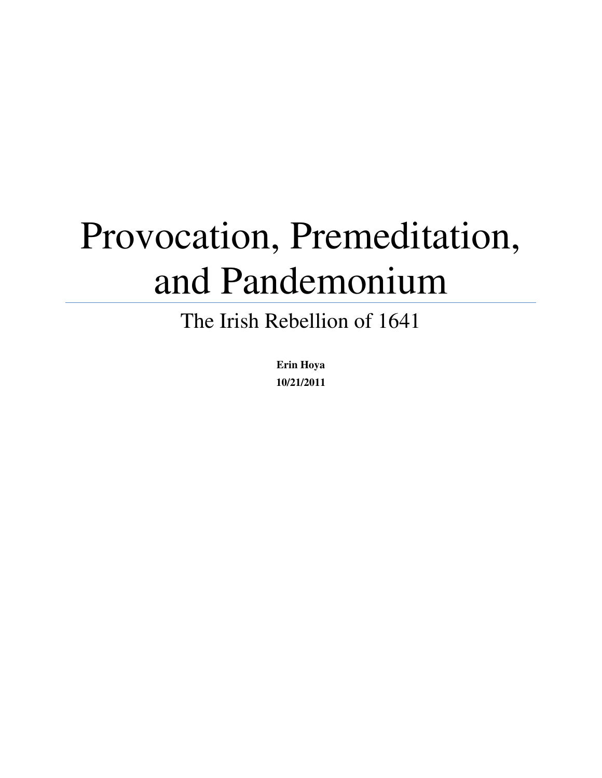# Provocation, Premeditation, and Pandemonium

## The Irish Rebellion of 1641

**Erin Hoya 10/21/2011**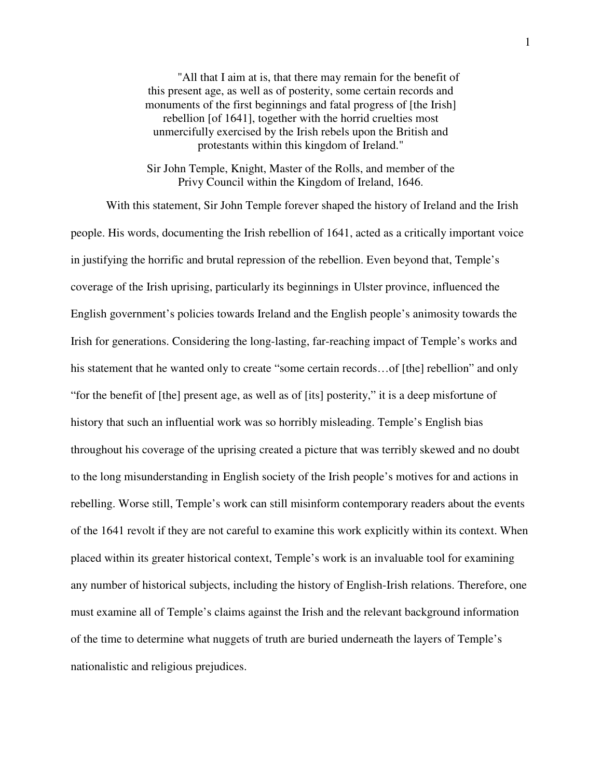"All that I aim at is, that there may remain for the benefit of this present age, as well as of posterity, some certain records and monuments of the first beginnings and fatal progress of [the Irish] rebellion [of 1641], together with the horrid cruelties most unmercifully exercised by the Irish rebels upon the British and protestants within this kingdom of Ireland."

Sir John Temple, Knight, Master of the Rolls, and member of the Privy Council within the Kingdom of Ireland, 1646.

With this statement, Sir John Temple forever shaped the history of Ireland and the Irish people. His words, documenting the Irish rebellion of 1641, acted as a critically important voice in justifying the horrific and brutal repression of the rebellion. Even beyond that, Temple's coverage of the Irish uprising, particularly its beginnings in Ulster province, influenced the English government's policies towards Ireland and the English people's animosity towards the Irish for generations. Considering the long-lasting, far-reaching impact of Temple's works and his statement that he wanted only to create "some certain records...of [the] rebellion" and only "for the benefit of [the] present age, as well as of [its] posterity," it is a deep misfortune of history that such an influential work was so horribly misleading. Temple's English bias throughout his coverage of the uprising created a picture that was terribly skewed and no doubt to the long misunderstanding in English society of the Irish people's motives for and actions in rebelling. Worse still, Temple's work can still misinform contemporary readers about the events of the 1641 revolt if they are not careful to examine this work explicitly within its context. When placed within its greater historical context, Temple's work is an invaluable tool for examining any number of historical subjects, including the history of English-Irish relations. Therefore, one must examine all of Temple's claims against the Irish and the relevant background information of the time to determine what nuggets of truth are buried underneath the layers of Temple's nationalistic and religious prejudices.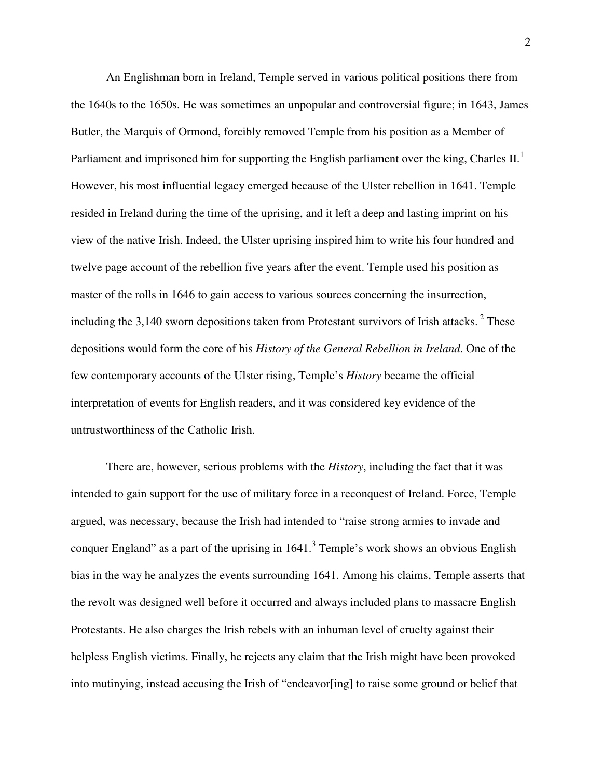An Englishman born in Ireland, Temple served in various political positions there from the 1640s to the 1650s. He was sometimes an unpopular and controversial figure; in 1643, James Butler, the Marquis of Ormond, forcibly removed Temple from his position as a Member of Parliament and imprisoned him for supporting the English parliament over the king, Charles II.<sup>1</sup> However, his most influential legacy emerged because of the Ulster rebellion in 1641. Temple resided in Ireland during the time of the uprising, and it left a deep and lasting imprint on his view of the native Irish. Indeed, the Ulster uprising inspired him to write his four hundred and twelve page account of the rebellion five years after the event. Temple used his position as master of the rolls in 1646 to gain access to various sources concerning the insurrection, including the  $3,140$  sworn depositions taken from Protestant survivors of Irish attacks.<sup>2</sup> These depositions would form the core of his *History of the General Rebellion in Ireland*. One of the few contemporary accounts of the Ulster rising, Temple's *History* became the official interpretation of events for English readers, and it was considered key evidence of the untrustworthiness of the Catholic Irish.

There are, however, serious problems with the *History*, including the fact that it was intended to gain support for the use of military force in a reconquest of Ireland. Force, Temple argued, was necessary, because the Irish had intended to "raise strong armies to invade and conquer England" as a part of the uprising in  $1641$ . Temple's work shows an obvious English bias in the way he analyzes the events surrounding 1641. Among his claims, Temple asserts that the revolt was designed well before it occurred and always included plans to massacre English Protestants. He also charges the Irish rebels with an inhuman level of cruelty against their helpless English victims. Finally, he rejects any claim that the Irish might have been provoked into mutinying, instead accusing the Irish of "endeavor[ing] to raise some ground or belief that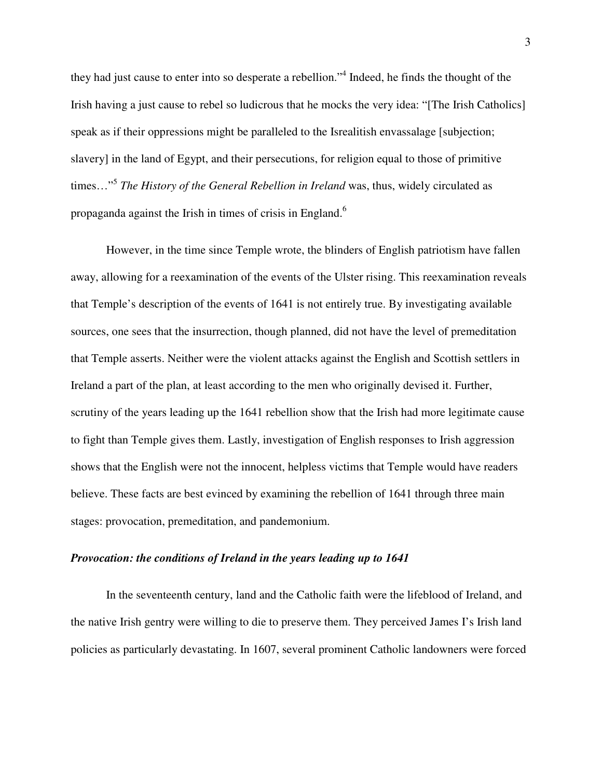they had just cause to enter into so desperate a rebellion."<sup>4</sup> Indeed, he finds the thought of the Irish having a just cause to rebel so ludicrous that he mocks the very idea: "[The Irish Catholics] speak as if their oppressions might be paralleled to the Isrealitish envassalage [subjection; slavery] in the land of Egypt, and their persecutions, for religion equal to those of primitive times…"<sup>5</sup> *The History of the General Rebellion in Ireland* was, thus, widely circulated as propaganda against the Irish in times of crisis in England.<sup>6</sup>

However, in the time since Temple wrote, the blinders of English patriotism have fallen away, allowing for a reexamination of the events of the Ulster rising. This reexamination reveals that Temple's description of the events of 1641 is not entirely true. By investigating available sources, one sees that the insurrection, though planned, did not have the level of premeditation that Temple asserts. Neither were the violent attacks against the English and Scottish settlers in Ireland a part of the plan, at least according to the men who originally devised it. Further, scrutiny of the years leading up the 1641 rebellion show that the Irish had more legitimate cause to fight than Temple gives them. Lastly, investigation of English responses to Irish aggression shows that the English were not the innocent, helpless victims that Temple would have readers believe. These facts are best evinced by examining the rebellion of 1641 through three main stages: provocation, premeditation, and pandemonium.

### *Provocation: the conditions of Ireland in the years leading up to 1641*

In the seventeenth century, land and the Catholic faith were the lifeblood of Ireland, and the native Irish gentry were willing to die to preserve them. They perceived James I's Irish land policies as particularly devastating. In 1607, several prominent Catholic landowners were forced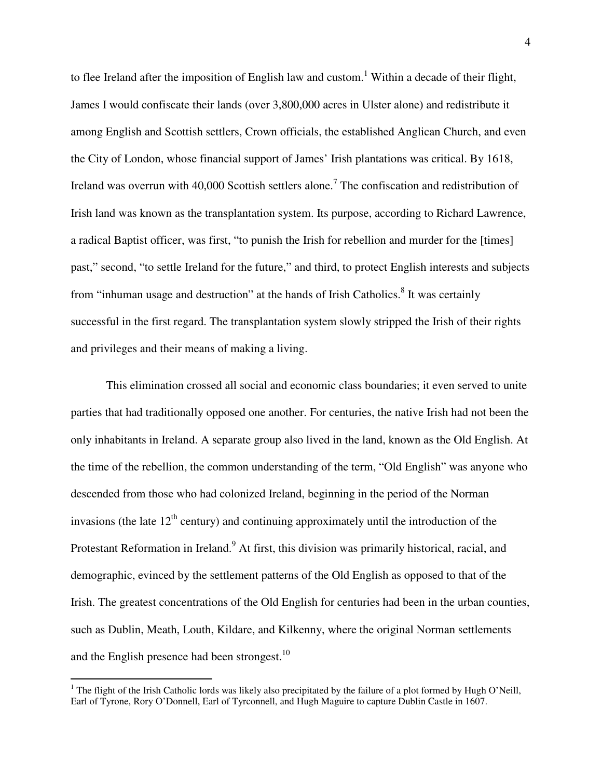to flee Ireland after the imposition of English law and custom.<sup>1</sup> Within a decade of their flight, James I would confiscate their lands (over 3,800,000 acres in Ulster alone) and redistribute it among English and Scottish settlers, Crown officials, the established Anglican Church, and even the City of London, whose financial support of James' Irish plantations was critical. By 1618, Ireland was overrun with 40,000 Scottish settlers alone.<sup>7</sup> The confiscation and redistribution of Irish land was known as the transplantation system. Its purpose, according to Richard Lawrence, a radical Baptist officer, was first, "to punish the Irish for rebellion and murder for the [times] past," second, "to settle Ireland for the future," and third, to protect English interests and subjects from "inhuman usage and destruction" at the hands of Irish Catholics.<sup>8</sup> It was certainly successful in the first regard. The transplantation system slowly stripped the Irish of their rights and privileges and their means of making a living.

This elimination crossed all social and economic class boundaries; it even served to unite parties that had traditionally opposed one another. For centuries, the native Irish had not been the only inhabitants in Ireland. A separate group also lived in the land, known as the Old English. At the time of the rebellion, the common understanding of the term, "Old English" was anyone who descended from those who had colonized Ireland, beginning in the period of the Norman invasions (the late  $12<sup>th</sup>$  century) and continuing approximately until the introduction of the Protestant Reformation in Ireland. At first, this division was primarily historical, racial, and demographic, evinced by the settlement patterns of the Old English as opposed to that of the Irish. The greatest concentrations of the Old English for centuries had been in the urban counties, such as Dublin, Meath, Louth, Kildare, and Kilkenny, where the original Norman settlements and the English presence had been strongest. $10$ 

1

<sup>&</sup>lt;sup>1</sup> The flight of the Irish Catholic lords was likely also precipitated by the failure of a plot formed by Hugh O'Neill, Earl of Tyrone, Rory O'Donnell, Earl of Tyrconnell, and Hugh Maguire to capture Dublin Castle in 1607.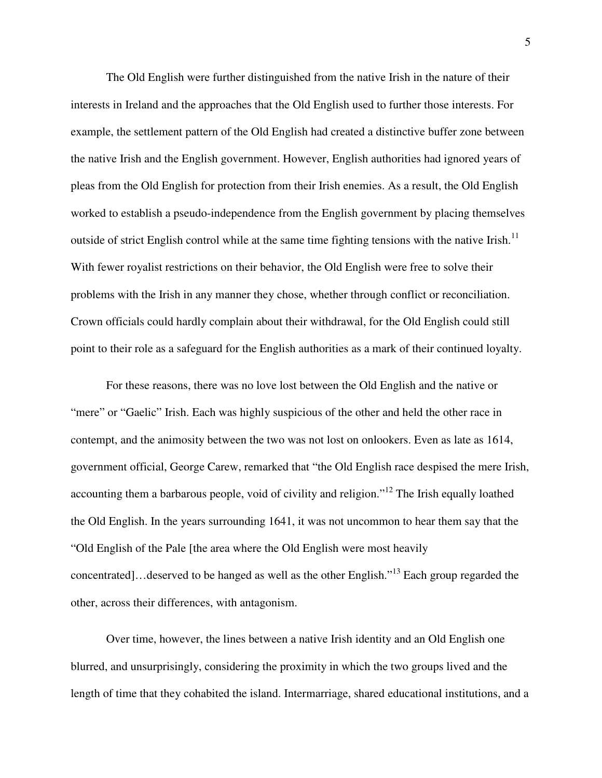The Old English were further distinguished from the native Irish in the nature of their interests in Ireland and the approaches that the Old English used to further those interests. For example, the settlement pattern of the Old English had created a distinctive buffer zone between the native Irish and the English government. However, English authorities had ignored years of pleas from the Old English for protection from their Irish enemies. As a result, the Old English worked to establish a pseudo-independence from the English government by placing themselves outside of strict English control while at the same time fighting tensions with the native Irish.<sup>11</sup> With fewer royalist restrictions on their behavior, the Old English were free to solve their problems with the Irish in any manner they chose, whether through conflict or reconciliation. Crown officials could hardly complain about their withdrawal, for the Old English could still point to their role as a safeguard for the English authorities as a mark of their continued loyalty.

For these reasons, there was no love lost between the Old English and the native or "mere" or "Gaelic" Irish. Each was highly suspicious of the other and held the other race in contempt, and the animosity between the two was not lost on onlookers. Even as late as 1614, government official, George Carew, remarked that "the Old English race despised the mere Irish, accounting them a barbarous people, void of civility and religion."<sup>12</sup> The Irish equally loathed the Old English. In the years surrounding 1641, it was not uncommon to hear them say that the "Old English of the Pale [the area where the Old English were most heavily concentrated]…deserved to be hanged as well as the other English."<sup>13</sup> Each group regarded the other, across their differences, with antagonism.

Over time, however, the lines between a native Irish identity and an Old English one blurred, and unsurprisingly, considering the proximity in which the two groups lived and the length of time that they cohabited the island. Intermarriage, shared educational institutions, and a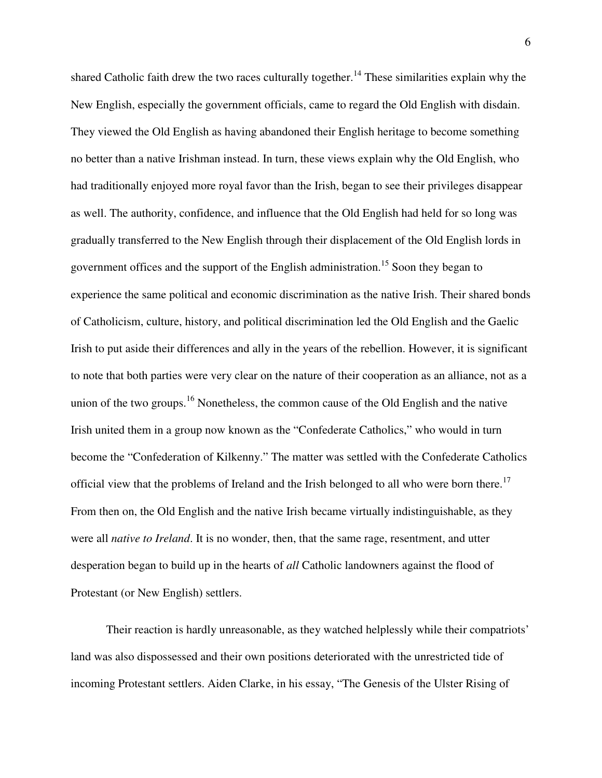shared Catholic faith drew the two races culturally together.<sup>14</sup> These similarities explain why the New English, especially the government officials, came to regard the Old English with disdain. They viewed the Old English as having abandoned their English heritage to become something no better than a native Irishman instead. In turn, these views explain why the Old English, who had traditionally enjoyed more royal favor than the Irish, began to see their privileges disappear as well. The authority, confidence, and influence that the Old English had held for so long was gradually transferred to the New English through their displacement of the Old English lords in government offices and the support of the English administration.<sup>15</sup> Soon they began to experience the same political and economic discrimination as the native Irish. Their shared bonds of Catholicism, culture, history, and political discrimination led the Old English and the Gaelic Irish to put aside their differences and ally in the years of the rebellion. However, it is significant to note that both parties were very clear on the nature of their cooperation as an alliance, not as a union of the two groups.<sup>16</sup> Nonetheless, the common cause of the Old English and the native Irish united them in a group now known as the "Confederate Catholics," who would in turn become the "Confederation of Kilkenny." The matter was settled with the Confederate Catholics official view that the problems of Ireland and the Irish belonged to all who were born there.<sup>17</sup> From then on, the Old English and the native Irish became virtually indistinguishable, as they were all *native to Ireland*. It is no wonder, then, that the same rage, resentment, and utter desperation began to build up in the hearts of *all* Catholic landowners against the flood of Protestant (or New English) settlers.

Their reaction is hardly unreasonable, as they watched helplessly while their compatriots' land was also dispossessed and their own positions deteriorated with the unrestricted tide of incoming Protestant settlers. Aiden Clarke, in his essay, "The Genesis of the Ulster Rising of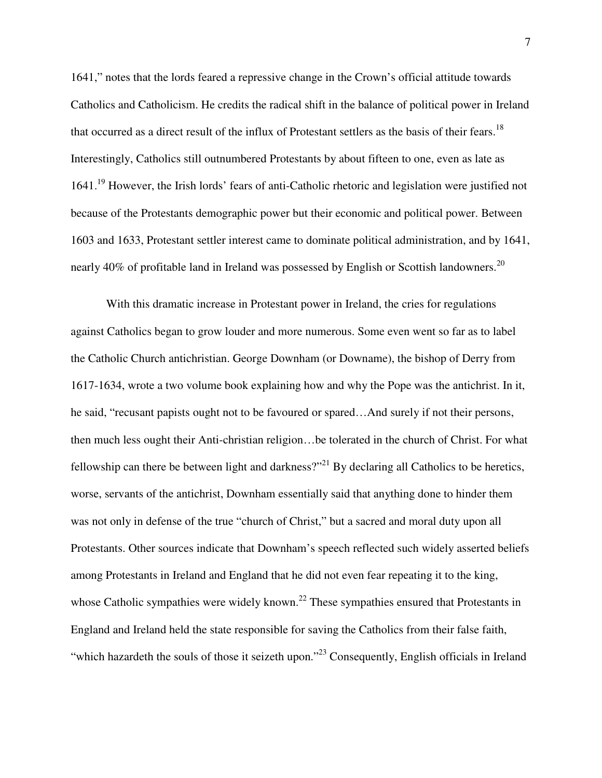1641," notes that the lords feared a repressive change in the Crown's official attitude towards Catholics and Catholicism. He credits the radical shift in the balance of political power in Ireland that occurred as a direct result of the influx of Protestant settlers as the basis of their fears.<sup>18</sup> Interestingly, Catholics still outnumbered Protestants by about fifteen to one, even as late as 1641.<sup>19</sup> However, the Irish lords' fears of anti-Catholic rhetoric and legislation were justified not because of the Protestants demographic power but their economic and political power. Between 1603 and 1633, Protestant settler interest came to dominate political administration, and by 1641, nearly 40% of profitable land in Ireland was possessed by English or Scottish landowners.<sup>20</sup>

With this dramatic increase in Protestant power in Ireland, the cries for regulations against Catholics began to grow louder and more numerous. Some even went so far as to label the Catholic Church antichristian. George Downham (or Downame), the bishop of Derry from 1617-1634, wrote a two volume book explaining how and why the Pope was the antichrist. In it, he said, "recusant papists ought not to be favoured or spared…And surely if not their persons, then much less ought their Anti-christian religion…be tolerated in the church of Christ. For what fellowship can there be between light and darkness?"<sup>21</sup> By declaring all Catholics to be heretics, worse, servants of the antichrist, Downham essentially said that anything done to hinder them was not only in defense of the true "church of Christ," but a sacred and moral duty upon all Protestants. Other sources indicate that Downham's speech reflected such widely asserted beliefs among Protestants in Ireland and England that he did not even fear repeating it to the king, whose Catholic sympathies were widely known.<sup>22</sup> These sympathies ensured that Protestants in England and Ireland held the state responsible for saving the Catholics from their false faith, "which hazardeth the souls of those it seizeth upon."<sup>23</sup> Consequently, English officials in Ireland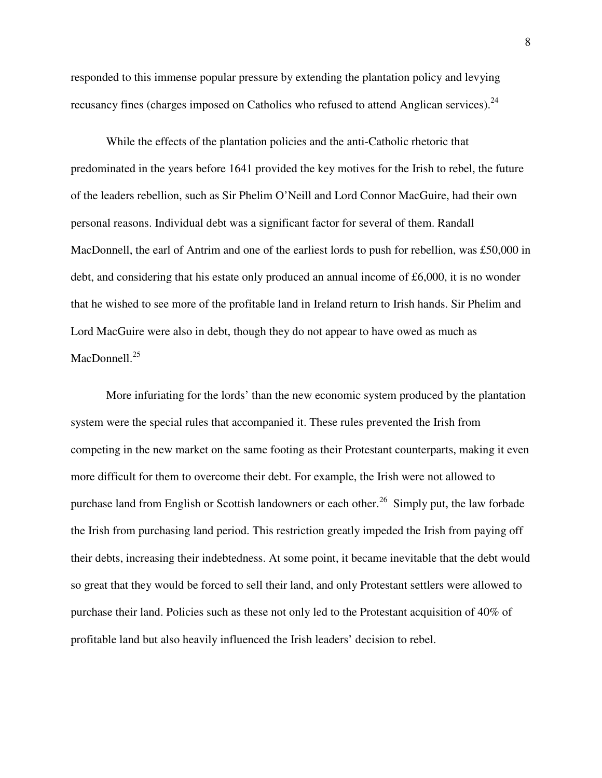responded to this immense popular pressure by extending the plantation policy and levying recusancy fines (charges imposed on Catholics who refused to attend Anglican services). $^{24}$ 

While the effects of the plantation policies and the anti-Catholic rhetoric that predominated in the years before 1641 provided the key motives for the Irish to rebel, the future of the leaders rebellion, such as Sir Phelim O'Neill and Lord Connor MacGuire, had their own personal reasons. Individual debt was a significant factor for several of them. Randall MacDonnell, the earl of Antrim and one of the earliest lords to push for rebellion, was £50,000 in debt, and considering that his estate only produced an annual income of  $\text{\pounds}6,000$ , it is no wonder that he wished to see more of the profitable land in Ireland return to Irish hands. Sir Phelim and Lord MacGuire were also in debt, though they do not appear to have owed as much as MacDonnell.<sup>25</sup>

More infuriating for the lords' than the new economic system produced by the plantation system were the special rules that accompanied it. These rules prevented the Irish from competing in the new market on the same footing as their Protestant counterparts, making it even more difficult for them to overcome their debt. For example, the Irish were not allowed to purchase land from English or Scottish landowners or each other.<sup>26</sup> Simply put, the law forbade the Irish from purchasing land period. This restriction greatly impeded the Irish from paying off their debts, increasing their indebtedness. At some point, it became inevitable that the debt would so great that they would be forced to sell their land, and only Protestant settlers were allowed to purchase their land. Policies such as these not only led to the Protestant acquisition of 40% of profitable land but also heavily influenced the Irish leaders' decision to rebel.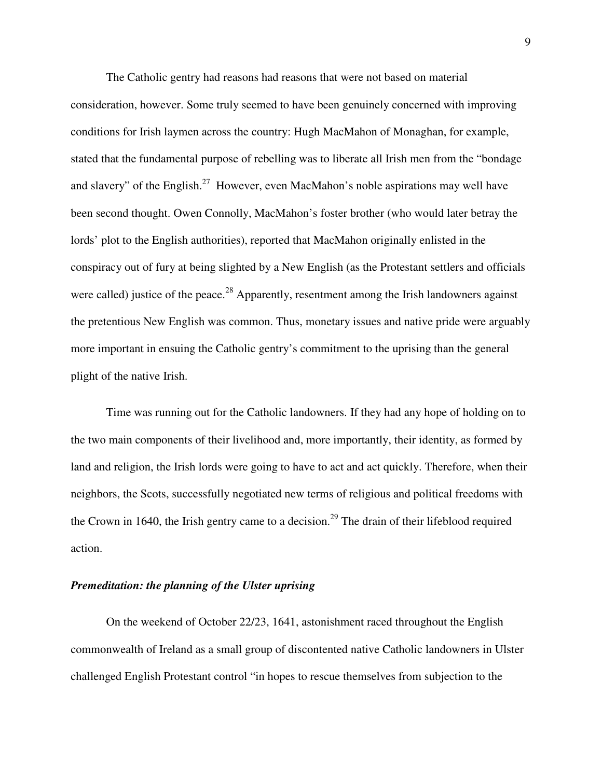The Catholic gentry had reasons had reasons that were not based on material consideration, however. Some truly seemed to have been genuinely concerned with improving conditions for Irish laymen across the country: Hugh MacMahon of Monaghan, for example, stated that the fundamental purpose of rebelling was to liberate all Irish men from the "bondage and slavery" of the English.<sup>27</sup> However, even MacMahon's noble aspirations may well have been second thought. Owen Connolly, MacMahon's foster brother (who would later betray the lords' plot to the English authorities), reported that MacMahon originally enlisted in the conspiracy out of fury at being slighted by a New English (as the Protestant settlers and officials were called) justice of the peace.<sup>28</sup> Apparently, resentment among the Irish landowners against the pretentious New English was common. Thus, monetary issues and native pride were arguably more important in ensuing the Catholic gentry's commitment to the uprising than the general plight of the native Irish.

Time was running out for the Catholic landowners. If they had any hope of holding on to the two main components of their livelihood and, more importantly, their identity, as formed by land and religion, the Irish lords were going to have to act and act quickly. Therefore, when their neighbors, the Scots, successfully negotiated new terms of religious and political freedoms with the Crown in 1640, the Irish gentry came to a decision.<sup>29</sup> The drain of their lifeblood required action.

#### *Premeditation: the planning of the Ulster uprising*

On the weekend of October 22/23, 1641, astonishment raced throughout the English commonwealth of Ireland as a small group of discontented native Catholic landowners in Ulster challenged English Protestant control "in hopes to rescue themselves from subjection to the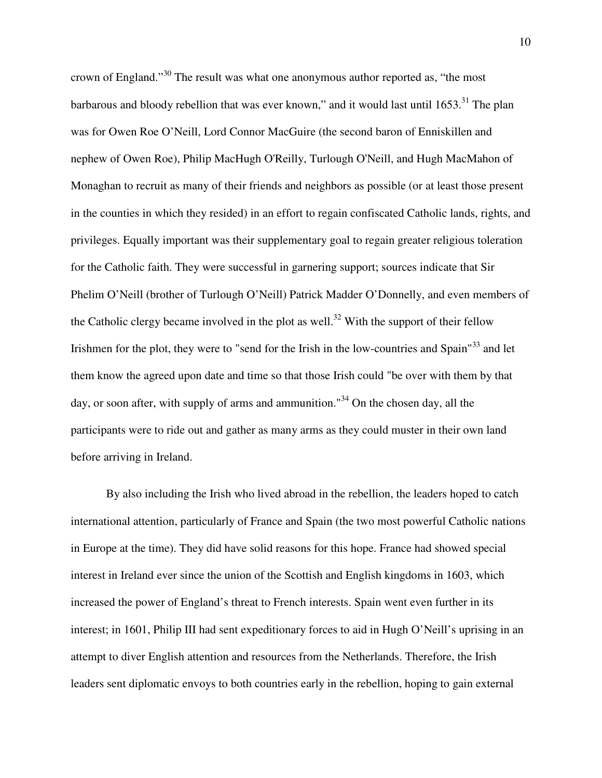crown of England."<sup>30</sup> The result was what one anonymous author reported as, "the most barbarous and bloody rebellion that was ever known," and it would last until  $1653$ .<sup>31</sup> The plan was for Owen Roe O'Neill, Lord Connor MacGuire (the second baron of Enniskillen and nephew of Owen Roe), Philip MacHugh O'Reilly, Turlough O'Neill, and Hugh MacMahon of Monaghan to recruit as many of their friends and neighbors as possible (or at least those present in the counties in which they resided) in an effort to regain confiscated Catholic lands, rights, and privileges. Equally important was their supplementary goal to regain greater religious toleration for the Catholic faith. They were successful in garnering support; sources indicate that Sir Phelim O'Neill (brother of Turlough O'Neill) Patrick Madder O'Donnelly, and even members of the Catholic clergy became involved in the plot as well.<sup>32</sup> With the support of their fellow Irishmen for the plot, they were to "send for the Irish in the low-countries and Spain"<sup>33</sup> and let them know the agreed upon date and time so that those Irish could "be over with them by that day, or soon after, with supply of arms and ammunition."<sup>34</sup> On the chosen day, all the participants were to ride out and gather as many arms as they could muster in their own land before arriving in Ireland.

By also including the Irish who lived abroad in the rebellion, the leaders hoped to catch international attention, particularly of France and Spain (the two most powerful Catholic nations in Europe at the time). They did have solid reasons for this hope. France had showed special interest in Ireland ever since the union of the Scottish and English kingdoms in 1603, which increased the power of England's threat to French interests. Spain went even further in its interest; in 1601, Philip III had sent expeditionary forces to aid in Hugh O'Neill's uprising in an attempt to diver English attention and resources from the Netherlands. Therefore, the Irish leaders sent diplomatic envoys to both countries early in the rebellion, hoping to gain external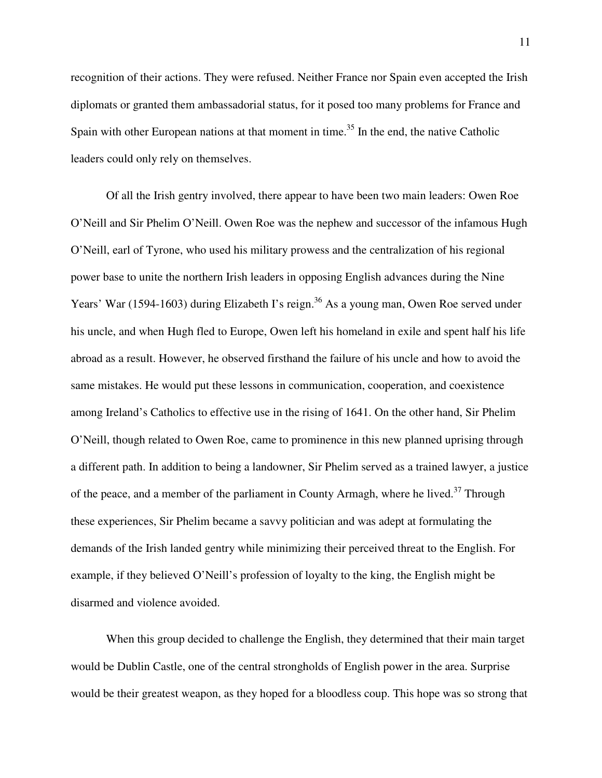recognition of their actions. They were refused. Neither France nor Spain even accepted the Irish diplomats or granted them ambassadorial status, for it posed too many problems for France and Spain with other European nations at that moment in time.<sup>35</sup> In the end, the native Catholic leaders could only rely on themselves.

Of all the Irish gentry involved, there appear to have been two main leaders: Owen Roe O'Neill and Sir Phelim O'Neill. Owen Roe was the nephew and successor of the infamous Hugh O'Neill, earl of Tyrone, who used his military prowess and the centralization of his regional power base to unite the northern Irish leaders in opposing English advances during the Nine Years' War (1594-1603) during Elizabeth I's reign.<sup>36</sup> As a young man, Owen Roe served under his uncle, and when Hugh fled to Europe, Owen left his homeland in exile and spent half his life abroad as a result. However, he observed firsthand the failure of his uncle and how to avoid the same mistakes. He would put these lessons in communication, cooperation, and coexistence among Ireland's Catholics to effective use in the rising of 1641. On the other hand, Sir Phelim O'Neill, though related to Owen Roe, came to prominence in this new planned uprising through a different path. In addition to being a landowner, Sir Phelim served as a trained lawyer, a justice of the peace, and a member of the parliament in County Armagh, where he lived.<sup>37</sup> Through these experiences, Sir Phelim became a savvy politician and was adept at formulating the demands of the Irish landed gentry while minimizing their perceived threat to the English. For example, if they believed O'Neill's profession of loyalty to the king, the English might be disarmed and violence avoided.

When this group decided to challenge the English, they determined that their main target would be Dublin Castle, one of the central strongholds of English power in the area. Surprise would be their greatest weapon, as they hoped for a bloodless coup. This hope was so strong that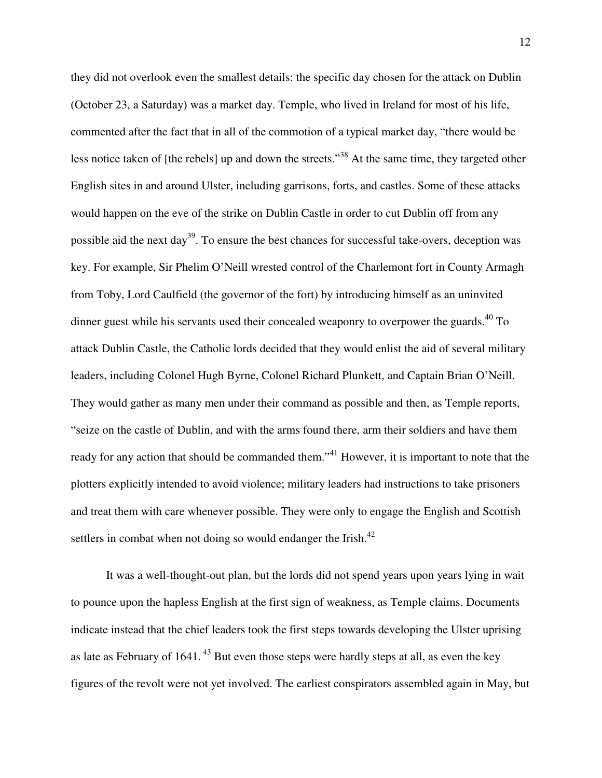they did not overlook even the smallest details: the specific day chosen for the attack on Dublin (October 23, a Saturday) was a market day. Temple, who lived in Ireland for most of his life, commented after the fact that in all of the commotion of a typical market day, "there would be less notice taken of [the rebels] up and down the streets."<sup>38</sup> At the same time, they targeted other English sites in and around Ulster, including garrisons, forts, and castles. Some of these attacks would happen on the eve of the strike on Dublin Castle in order to cut Dublin off from any possible aid the next day<sup>39</sup>. To ensure the best chances for successful take-overs, deception was key. For example, Sir Phelim O'Neill wrested control of the Charlemont fort in County Armagh from Toby, Lord Caulfield (the governor of the fort) by introducing himself as an uninvited dinner guest while his servants used their concealed weaponry to overpower the guards.<sup>40</sup> To attack Dublin Castle, the Catholic lords decided that they would enlist the aid of several military leaders, including Colonel Hugh Byrne, Colonel Richard Plunkett, and Captain Brian O'Neill. They would gather as many men under their command as possible and then, as Temple reports, "seize on the castle of Dublin, and with the arms found there, arm their soldiers and have them ready for any action that should be commanded them."<sup>41</sup> However, it is important to note that the plotters explicitly intended to avoid violence; military leaders had instructions to take prisoners and treat them with care whenever possible. They were only to engage the English and Scottish settlers in combat when not doing so would endanger the Irish. $42$ 

It was a well-thought-out plan, but the lords did not spend years upon years lying in wait to pounce upon the hapless English at the first sign of weakness, as Temple claims. Documents indicate instead that the chief leaders took the first steps towards developing the Ulster uprising as late as February of  $1641$ .<sup>43</sup> But even those steps were hardly steps at all, as even the key figures of the revolt were not yet involved. The earliest conspirators assembled again in May, but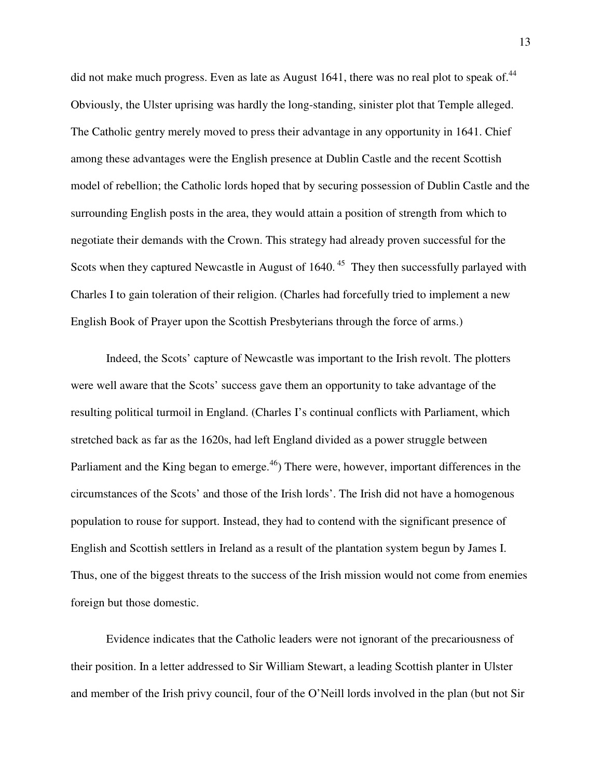did not make much progress. Even as late as August 1641, there was no real plot to speak of.<sup>44</sup> Obviously, the Ulster uprising was hardly the long-standing, sinister plot that Temple alleged. The Catholic gentry merely moved to press their advantage in any opportunity in 1641. Chief among these advantages were the English presence at Dublin Castle and the recent Scottish model of rebellion; the Catholic lords hoped that by securing possession of Dublin Castle and the surrounding English posts in the area, they would attain a position of strength from which to negotiate their demands with the Crown. This strategy had already proven successful for the Scots when they captured Newcastle in August of  $1640$ .<sup>45</sup> They then successfully parlayed with Charles I to gain toleration of their religion. (Charles had forcefully tried to implement a new English Book of Prayer upon the Scottish Presbyterians through the force of arms.)

Indeed, the Scots' capture of Newcastle was important to the Irish revolt. The plotters were well aware that the Scots' success gave them an opportunity to take advantage of the resulting political turmoil in England. (Charles I's continual conflicts with Parliament, which stretched back as far as the 1620s, had left England divided as a power struggle between Parliament and the King began to emerge.<sup>46</sup>) There were, however, important differences in the circumstances of the Scots' and those of the Irish lords'. The Irish did not have a homogenous population to rouse for support. Instead, they had to contend with the significant presence of English and Scottish settlers in Ireland as a result of the plantation system begun by James I. Thus, one of the biggest threats to the success of the Irish mission would not come from enemies foreign but those domestic.

Evidence indicates that the Catholic leaders were not ignorant of the precariousness of their position. In a letter addressed to Sir William Stewart, a leading Scottish planter in Ulster and member of the Irish privy council, four of the O'Neill lords involved in the plan (but not Sir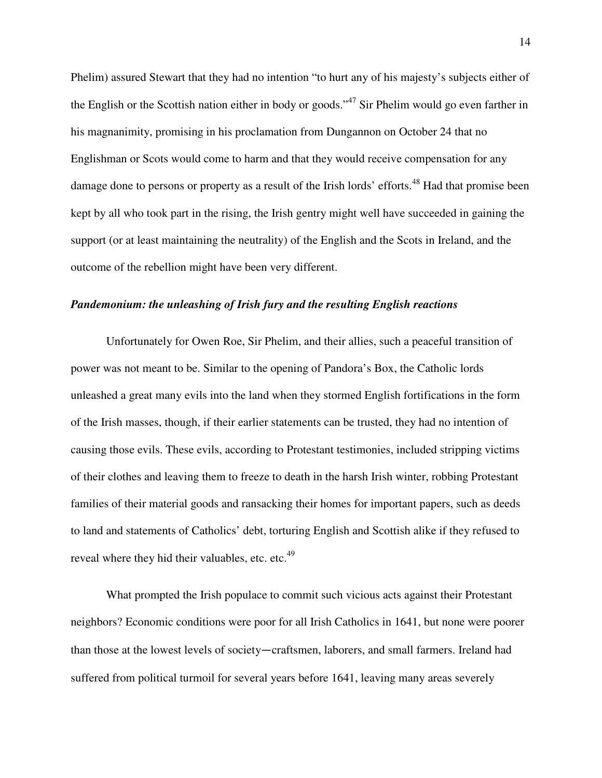Phelim) assured Stewart that they had no intention "to hurt any of his majesty's subjects either of the English or the Scottish nation either in body or goods."<sup>47</sup> Sir Phelim would go even farther in his magnanimity, promising in his proclamation from Dungannon on October 24 that no Englishman or Scots would come to harm and that they would receive compensation for any damage done to persons or property as a result of the Irish lords' efforts.<sup>48</sup> Had that promise been kept by all who took part in the rising, the Irish gentry might well have succeeded in gaining the support (or at least maintaining the neutrality) of the English and the Scots in Ireland, and the outcome of the rebellion might have been very different.

### *Pandemonium: the unleashing of Irish fury and the resulting English reactions*

Unfortunately for Owen Roe, Sir Phelim, and their allies, such a peaceful transition of power was not meant to be. Similar to the opening of Pandora's Box, the Catholic lords unleashed a great many evils into the land when they stormed English fortifications in the form of the Irish masses, though, if their earlier statements can be trusted, they had no intention of causing those evils. These evils, according to Protestant testimonies, included stripping victims of their clothes and leaving them to freeze to death in the harsh Irish winter, robbing Protestant families of their material goods and ransacking their homes for important papers, such as deeds to land and statements of Catholics' debt, torturing English and Scottish alike if they refused to reveal where they hid their valuables, etc. etc.<sup>49</sup>

What prompted the Irish populace to commit such vicious acts against their Protestant neighbors? Economic conditions were poor for all Irish Catholics in 1641, but none were poorer than those at the lowest levels of society―craftsmen, laborers, and small farmers. Ireland had suffered from political turmoil for several years before 1641, leaving many areas severely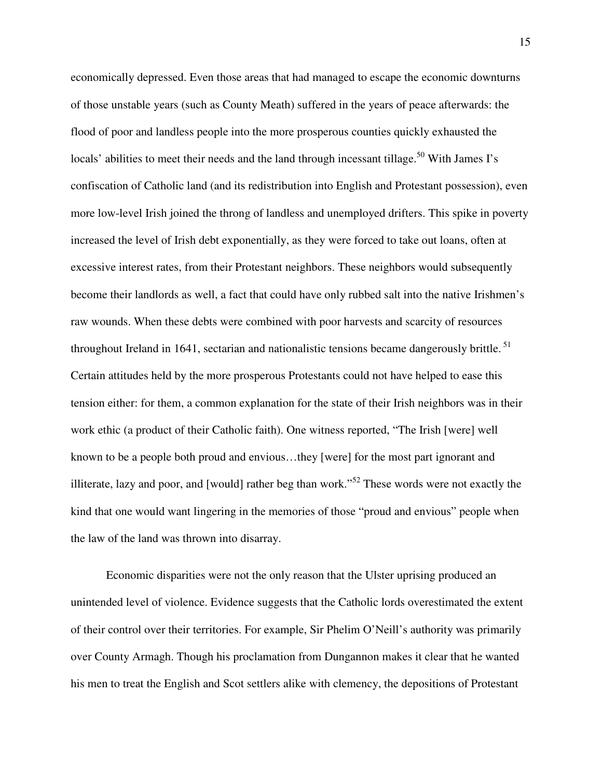economically depressed. Even those areas that had managed to escape the economic downturns of those unstable years (such as County Meath) suffered in the years of peace afterwards: the flood of poor and landless people into the more prosperous counties quickly exhausted the locals' abilities to meet their needs and the land through incessant tillage.<sup>50</sup> With James I's confiscation of Catholic land (and its redistribution into English and Protestant possession), even more low-level Irish joined the throng of landless and unemployed drifters. This spike in poverty increased the level of Irish debt exponentially, as they were forced to take out loans, often at excessive interest rates, from their Protestant neighbors. These neighbors would subsequently become their landlords as well, a fact that could have only rubbed salt into the native Irishmen's raw wounds. When these debts were combined with poor harvests and scarcity of resources throughout Ireland in 1641, sectarian and nationalistic tensions became dangerously brittle.<sup>51</sup> Certain attitudes held by the more prosperous Protestants could not have helped to ease this tension either: for them, a common explanation for the state of their Irish neighbors was in their work ethic (a product of their Catholic faith). One witness reported, "The Irish [were] well known to be a people both proud and envious…they [were] for the most part ignorant and illiterate, lazy and poor, and [would] rather beg than work."<sup>52</sup> These words were not exactly the kind that one would want lingering in the memories of those "proud and envious" people when the law of the land was thrown into disarray.

Economic disparities were not the only reason that the Ulster uprising produced an unintended level of violence. Evidence suggests that the Catholic lords overestimated the extent of their control over their territories. For example, Sir Phelim O'Neill's authority was primarily over County Armagh. Though his proclamation from Dungannon makes it clear that he wanted his men to treat the English and Scot settlers alike with clemency, the depositions of Protestant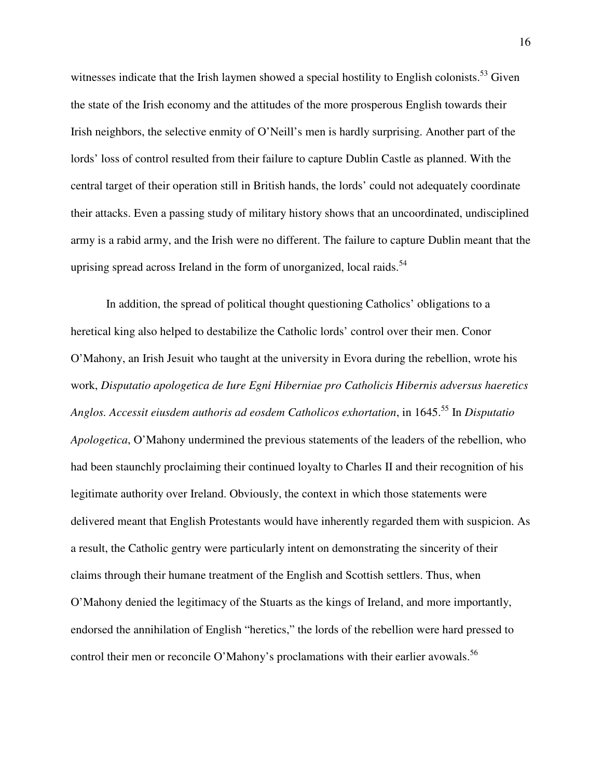witnesses indicate that the Irish laymen showed a special hostility to English colonists.<sup>53</sup> Given the state of the Irish economy and the attitudes of the more prosperous English towards their Irish neighbors, the selective enmity of O'Neill's men is hardly surprising. Another part of the lords' loss of control resulted from their failure to capture Dublin Castle as planned. With the central target of their operation still in British hands, the lords' could not adequately coordinate their attacks. Even a passing study of military history shows that an uncoordinated, undisciplined army is a rabid army, and the Irish were no different. The failure to capture Dublin meant that the uprising spread across Ireland in the form of unorganized, local raids.<sup>54</sup>

In addition, the spread of political thought questioning Catholics' obligations to a heretical king also helped to destabilize the Catholic lords' control over their men. Conor O'Mahony, an Irish Jesuit who taught at the university in Evora during the rebellion, wrote his work, *Disputatio apologetica de Iure Egni Hiberniae pro Catholicis Hibernis adversus haeretics Anglos. Accessit eiusdem authoris ad eosdem Catholicos exhortation*, in 1645.<sup>55</sup> In *Disputatio Apologetica*, O'Mahony undermined the previous statements of the leaders of the rebellion, who had been staunchly proclaiming their continued loyalty to Charles II and their recognition of his legitimate authority over Ireland. Obviously, the context in which those statements were delivered meant that English Protestants would have inherently regarded them with suspicion. As a result, the Catholic gentry were particularly intent on demonstrating the sincerity of their claims through their humane treatment of the English and Scottish settlers. Thus, when O'Mahony denied the legitimacy of the Stuarts as the kings of Ireland, and more importantly, endorsed the annihilation of English "heretics," the lords of the rebellion were hard pressed to control their men or reconcile O'Mahony's proclamations with their earlier avowals.<sup>56</sup>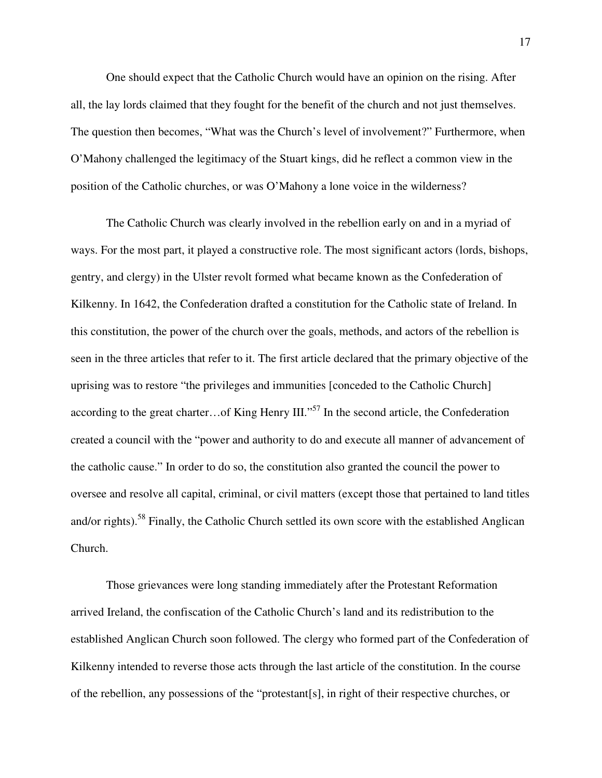One should expect that the Catholic Church would have an opinion on the rising. After all, the lay lords claimed that they fought for the benefit of the church and not just themselves. The question then becomes, "What was the Church's level of involvement?" Furthermore, when O'Mahony challenged the legitimacy of the Stuart kings, did he reflect a common view in the position of the Catholic churches, or was O'Mahony a lone voice in the wilderness?

The Catholic Church was clearly involved in the rebellion early on and in a myriad of ways. For the most part, it played a constructive role. The most significant actors (lords, bishops, gentry, and clergy) in the Ulster revolt formed what became known as the Confederation of Kilkenny. In 1642, the Confederation drafted a constitution for the Catholic state of Ireland. In this constitution, the power of the church over the goals, methods, and actors of the rebellion is seen in the three articles that refer to it. The first article declared that the primary objective of the uprising was to restore "the privileges and immunities [conceded to the Catholic Church] according to the great charter... of King Henry III."<sup>57</sup> In the second article, the Confederation created a council with the "power and authority to do and execute all manner of advancement of the catholic cause." In order to do so, the constitution also granted the council the power to oversee and resolve all capital, criminal, or civil matters (except those that pertained to land titles and/or rights).<sup>58</sup> Finally, the Catholic Church settled its own score with the established Anglican Church.

Those grievances were long standing immediately after the Protestant Reformation arrived Ireland, the confiscation of the Catholic Church's land and its redistribution to the established Anglican Church soon followed. The clergy who formed part of the Confederation of Kilkenny intended to reverse those acts through the last article of the constitution. In the course of the rebellion, any possessions of the "protestant[s], in right of their respective churches, or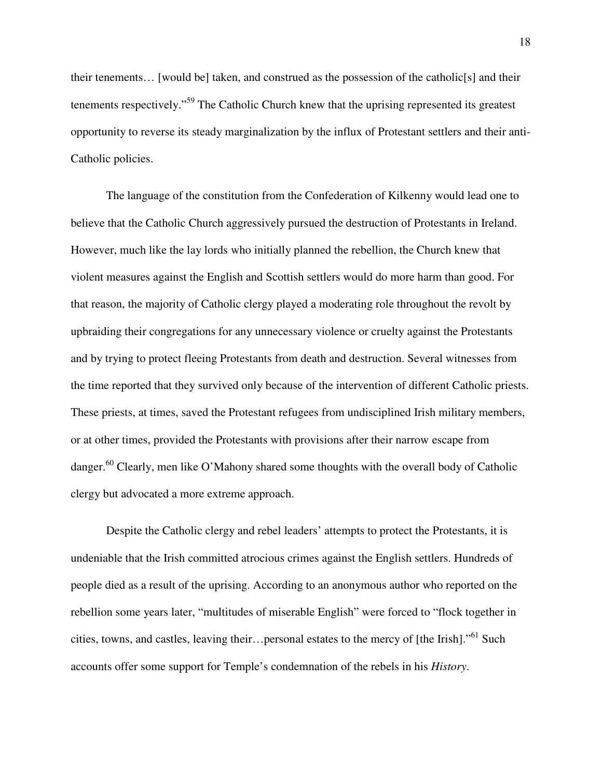their tenements... [would be] taken, and construed as the possession of the catholic[s] and their tenements respectively."<sup>59</sup> The Catholic Church knew that the uprising represented its greatest opportunity to reverse its steady marginalization by the influx of Protestant settlers and their anti-Catholic policies.

The language of the constitution from the Confederation of Kilkenny would lead one to believe that the Catholic Church aggressively pursued the destruction of Protestants in Ireland. However, much like the lay lords who initially planned the rebellion, the Church knew that violent measures against the English and Scottish settlers would do more harm than good. For that reason, the majority of Catholic clergy played a moderating role throughout the revolt by upbraiding their congregations for any unnecessary violence or cruelty against the Protestants and by trying to protect fleeing Protestants from death and destruction. Several witnesses from the time reported that they survived only because of the intervention of different Catholic priests. These priests, at times, saved the Protestant refugees from undisciplined Irish military members, or at other times, provided the Protestants with provisions after their narrow escape from danger.<sup>60</sup> Clearly, men like O'Mahony shared some thoughts with the overall body of Catholic clergy but advocated a more extreme approach.

Despite the Catholic clergy and rebel leaders' attempts to protect the Protestants, it is undeniable that the Irish committed atrocious crimes against the English settlers. Hundreds of people died as a result of the uprising. According to an anonymous author who reported on the rebellion some years later, "multitudes of miserable English" were forced to "flock together in cities, towns, and castles, leaving their…personal estates to the mercy of [the Irish]."<sup>61</sup> Such accounts offer some support for Temple's condemnation of the rebels in his *History*.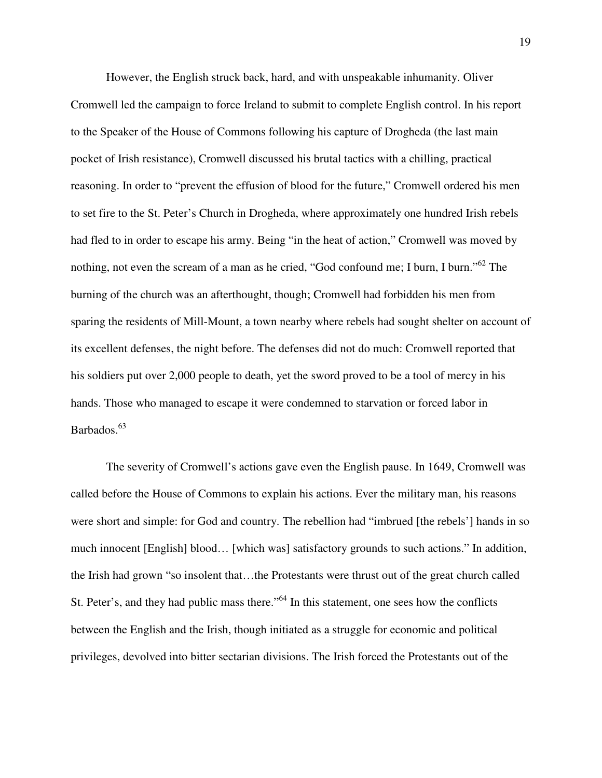However, the English struck back, hard, and with unspeakable inhumanity. Oliver Cromwell led the campaign to force Ireland to submit to complete English control. In his report to the Speaker of the House of Commons following his capture of Drogheda (the last main pocket of Irish resistance), Cromwell discussed his brutal tactics with a chilling, practical reasoning. In order to "prevent the effusion of blood for the future," Cromwell ordered his men to set fire to the St. Peter's Church in Drogheda, where approximately one hundred Irish rebels had fled to in order to escape his army. Being "in the heat of action," Cromwell was moved by nothing, not even the scream of a man as he cried, "God confound me; I burn, I burn."<sup>62</sup> The burning of the church was an afterthought, though; Cromwell had forbidden his men from sparing the residents of Mill-Mount, a town nearby where rebels had sought shelter on account of its excellent defenses, the night before. The defenses did not do much: Cromwell reported that his soldiers put over 2,000 people to death, yet the sword proved to be a tool of mercy in his hands. Those who managed to escape it were condemned to starvation or forced labor in Barbados.<sup>63</sup>

The severity of Cromwell's actions gave even the English pause. In 1649, Cromwell was called before the House of Commons to explain his actions. Ever the military man, his reasons were short and simple: for God and country. The rebellion had "imbrued [the rebels'] hands in so much innocent [English] blood… [which was] satisfactory grounds to such actions." In addition, the Irish had grown "so insolent that…the Protestants were thrust out of the great church called St. Peter's, and they had public mass there."<sup>64</sup> In this statement, one sees how the conflicts between the English and the Irish, though initiated as a struggle for economic and political privileges, devolved into bitter sectarian divisions. The Irish forced the Protestants out of the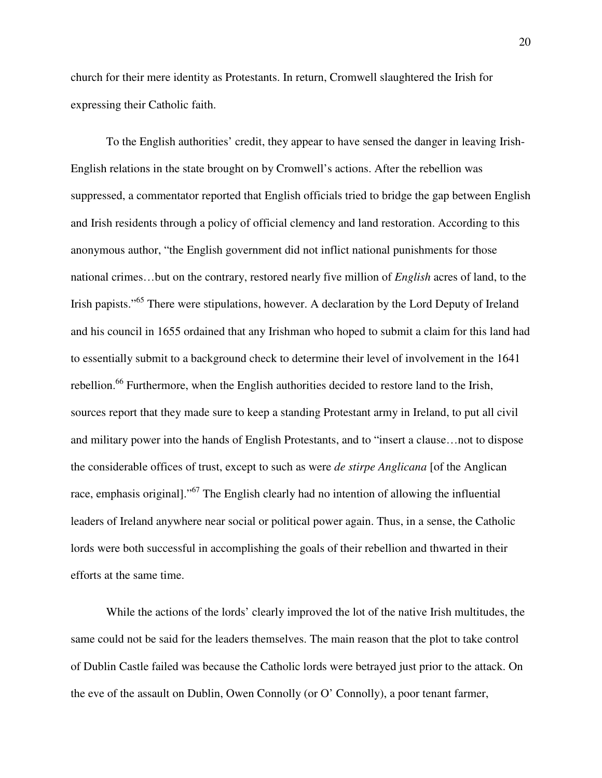church for their mere identity as Protestants. In return, Cromwell slaughtered the Irish for expressing their Catholic faith.

To the English authorities' credit, they appear to have sensed the danger in leaving Irish-English relations in the state brought on by Cromwell's actions. After the rebellion was suppressed, a commentator reported that English officials tried to bridge the gap between English and Irish residents through a policy of official clemency and land restoration. According to this anonymous author, "the English government did not inflict national punishments for those national crimes…but on the contrary, restored nearly five million of *English* acres of land, to the Irish papists."<sup>65</sup> There were stipulations, however. A declaration by the Lord Deputy of Ireland and his council in 1655 ordained that any Irishman who hoped to submit a claim for this land had to essentially submit to a background check to determine their level of involvement in the 1641 rebellion.<sup>66</sup> Furthermore, when the English authorities decided to restore land to the Irish, sources report that they made sure to keep a standing Protestant army in Ireland, to put all civil and military power into the hands of English Protestants, and to "insert a clause…not to dispose the considerable offices of trust, except to such as were *de stirpe Anglicana* [of the Anglican race, emphasis original]."<sup>67</sup> The English clearly had no intention of allowing the influential leaders of Ireland anywhere near social or political power again. Thus, in a sense, the Catholic lords were both successful in accomplishing the goals of their rebellion and thwarted in their efforts at the same time.

While the actions of the lords' clearly improved the lot of the native Irish multitudes, the same could not be said for the leaders themselves. The main reason that the plot to take control of Dublin Castle failed was because the Catholic lords were betrayed just prior to the attack. On the eve of the assault on Dublin, Owen Connolly (or O' Connolly), a poor tenant farmer,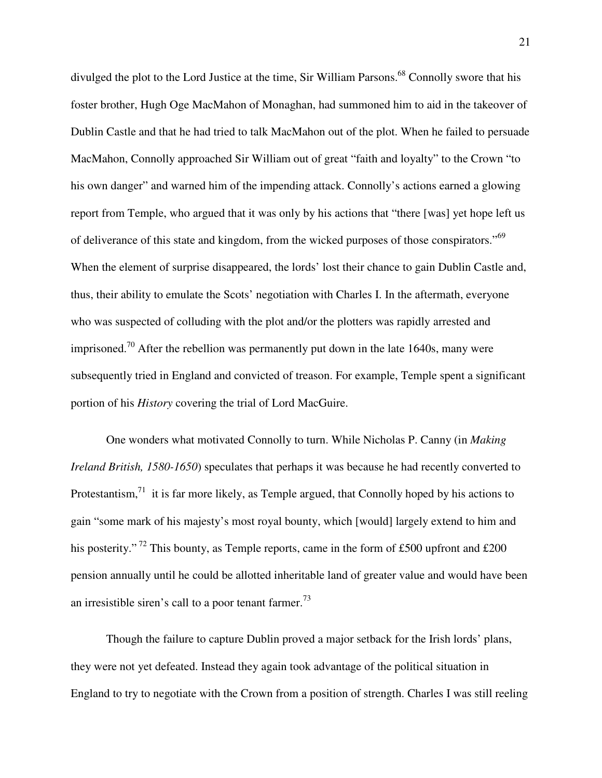divulged the plot to the Lord Justice at the time, Sir William Parsons.<sup>68</sup> Connolly swore that his foster brother, Hugh Oge MacMahon of Monaghan, had summoned him to aid in the takeover of Dublin Castle and that he had tried to talk MacMahon out of the plot. When he failed to persuade MacMahon, Connolly approached Sir William out of great "faith and loyalty" to the Crown "to his own danger" and warned him of the impending attack. Connolly's actions earned a glowing report from Temple, who argued that it was only by his actions that "there [was] yet hope left us of deliverance of this state and kingdom, from the wicked purposes of those conspirators."<sup>69</sup> When the element of surprise disappeared, the lords' lost their chance to gain Dublin Castle and, thus, their ability to emulate the Scots' negotiation with Charles I. In the aftermath, everyone who was suspected of colluding with the plot and/or the plotters was rapidly arrested and imprisoned.<sup>70</sup> After the rebellion was permanently put down in the late 1640s, many were subsequently tried in England and convicted of treason. For example, Temple spent a significant portion of his *History* covering the trial of Lord MacGuire.

One wonders what motivated Connolly to turn. While Nicholas P. Canny (in *Making Ireland British, 1580-1650*) speculates that perhaps it was because he had recently converted to Protestantism, $71$  it is far more likely, as Temple argued, that Connolly hoped by his actions to gain "some mark of his majesty's most royal bounty, which [would] largely extend to him and his posterity."<sup>72</sup> This bounty, as Temple reports, came in the form of £500 upfront and £200 pension annually until he could be allotted inheritable land of greater value and would have been an irresistible siren's call to a poor tenant farmer.<sup>73</sup>

Though the failure to capture Dublin proved a major setback for the Irish lords' plans, they were not yet defeated. Instead they again took advantage of the political situation in England to try to negotiate with the Crown from a position of strength. Charles I was still reeling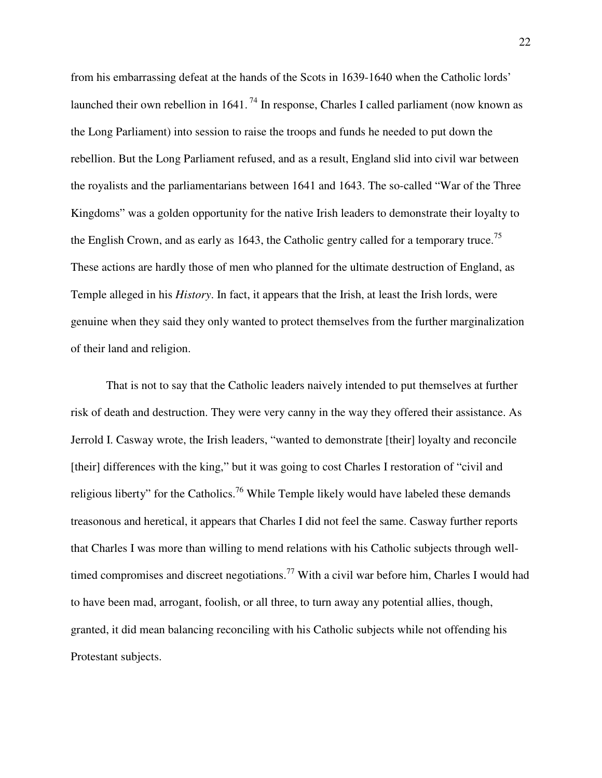from his embarrassing defeat at the hands of the Scots in 1639-1640 when the Catholic lords' launched their own rebellion in  $1641$ .<sup>74</sup> In response, Charles I called parliament (now known as the Long Parliament) into session to raise the troops and funds he needed to put down the rebellion. But the Long Parliament refused, and as a result, England slid into civil war between the royalists and the parliamentarians between 1641 and 1643. The so-called "War of the Three Kingdoms" was a golden opportunity for the native Irish leaders to demonstrate their loyalty to the English Crown, and as early as 1643, the Catholic gentry called for a temporary truce.<sup>75</sup> These actions are hardly those of men who planned for the ultimate destruction of England, as Temple alleged in his *History*. In fact, it appears that the Irish, at least the Irish lords, were genuine when they said they only wanted to protect themselves from the further marginalization of their land and religion.

That is not to say that the Catholic leaders naively intended to put themselves at further risk of death and destruction. They were very canny in the way they offered their assistance. As Jerrold I. Casway wrote, the Irish leaders, "wanted to demonstrate [their] loyalty and reconcile [their] differences with the king," but it was going to cost Charles I restoration of "civil and religious liberty" for the Catholics.<sup>76</sup> While Temple likely would have labeled these demands treasonous and heretical, it appears that Charles I did not feel the same. Casway further reports that Charles I was more than willing to mend relations with his Catholic subjects through welltimed compromises and discreet negotiations.<sup>77</sup> With a civil war before him, Charles I would had to have been mad, arrogant, foolish, or all three, to turn away any potential allies, though, granted, it did mean balancing reconciling with his Catholic subjects while not offending his Protestant subjects.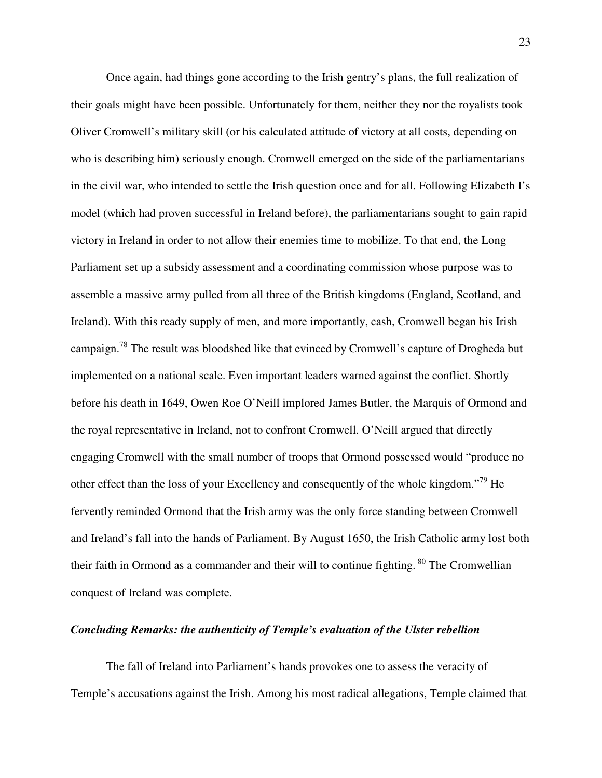Once again, had things gone according to the Irish gentry's plans, the full realization of their goals might have been possible. Unfortunately for them, neither they nor the royalists took Oliver Cromwell's military skill (or his calculated attitude of victory at all costs, depending on who is describing him) seriously enough. Cromwell emerged on the side of the parliamentarians in the civil war, who intended to settle the Irish question once and for all. Following Elizabeth I's model (which had proven successful in Ireland before), the parliamentarians sought to gain rapid victory in Ireland in order to not allow their enemies time to mobilize. To that end, the Long Parliament set up a subsidy assessment and a coordinating commission whose purpose was to assemble a massive army pulled from all three of the British kingdoms (England, Scotland, and Ireland). With this ready supply of men, and more importantly, cash, Cromwell began his Irish campaign.<sup>78</sup> The result was bloodshed like that evinced by Cromwell's capture of Drogheda but implemented on a national scale. Even important leaders warned against the conflict. Shortly before his death in 1649, Owen Roe O'Neill implored James Butler, the Marquis of Ormond and the royal representative in Ireland, not to confront Cromwell. O'Neill argued that directly engaging Cromwell with the small number of troops that Ormond possessed would "produce no other effect than the loss of your Excellency and consequently of the whole kingdom."<sup>79</sup> He fervently reminded Ormond that the Irish army was the only force standing between Cromwell and Ireland's fall into the hands of Parliament. By August 1650, the Irish Catholic army lost both their faith in Ormond as a commander and their will to continue fighting.  $80$  The Cromwellian conquest of Ireland was complete.

### *Concluding Remarks: the authenticity of Temple's evaluation of the Ulster rebellion*

The fall of Ireland into Parliament's hands provokes one to assess the veracity of Temple's accusations against the Irish. Among his most radical allegations, Temple claimed that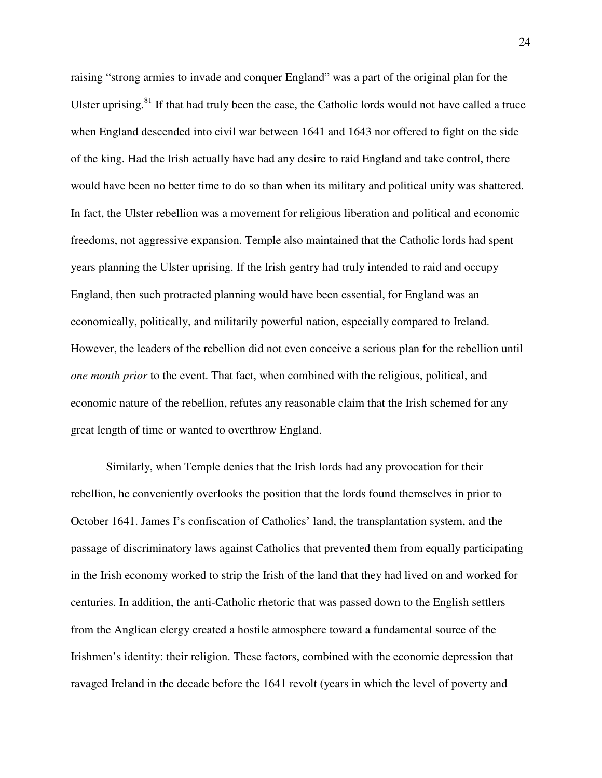raising "strong armies to invade and conquer England" was a part of the original plan for the Ulster uprising. $81$  If that had truly been the case, the Catholic lords would not have called a truce when England descended into civil war between 1641 and 1643 nor offered to fight on the side of the king. Had the Irish actually have had any desire to raid England and take control, there would have been no better time to do so than when its military and political unity was shattered. In fact, the Ulster rebellion was a movement for religious liberation and political and economic freedoms, not aggressive expansion. Temple also maintained that the Catholic lords had spent years planning the Ulster uprising. If the Irish gentry had truly intended to raid and occupy England, then such protracted planning would have been essential, for England was an economically, politically, and militarily powerful nation, especially compared to Ireland. However, the leaders of the rebellion did not even conceive a serious plan for the rebellion until *one month prior* to the event. That fact, when combined with the religious, political, and economic nature of the rebellion, refutes any reasonable claim that the Irish schemed for any great length of time or wanted to overthrow England.

Similarly, when Temple denies that the Irish lords had any provocation for their rebellion, he conveniently overlooks the position that the lords found themselves in prior to October 1641. James I's confiscation of Catholics' land, the transplantation system, and the passage of discriminatory laws against Catholics that prevented them from equally participating in the Irish economy worked to strip the Irish of the land that they had lived on and worked for centuries. In addition, the anti-Catholic rhetoric that was passed down to the English settlers from the Anglican clergy created a hostile atmosphere toward a fundamental source of the Irishmen's identity: their religion. These factors, combined with the economic depression that ravaged Ireland in the decade before the 1641 revolt (years in which the level of poverty and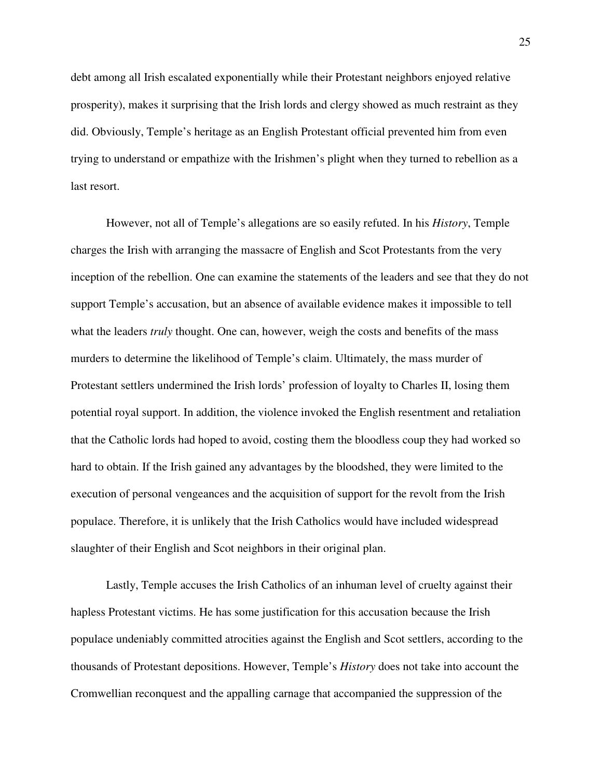debt among all Irish escalated exponentially while their Protestant neighbors enjoyed relative prosperity), makes it surprising that the Irish lords and clergy showed as much restraint as they did. Obviously, Temple's heritage as an English Protestant official prevented him from even trying to understand or empathize with the Irishmen's plight when they turned to rebellion as a last resort.

However, not all of Temple's allegations are so easily refuted. In his *History*, Temple charges the Irish with arranging the massacre of English and Scot Protestants from the very inception of the rebellion. One can examine the statements of the leaders and see that they do not support Temple's accusation, but an absence of available evidence makes it impossible to tell what the leaders *truly* thought. One can, however, weigh the costs and benefits of the mass murders to determine the likelihood of Temple's claim. Ultimately, the mass murder of Protestant settlers undermined the Irish lords' profession of loyalty to Charles II, losing them potential royal support. In addition, the violence invoked the English resentment and retaliation that the Catholic lords had hoped to avoid, costing them the bloodless coup they had worked so hard to obtain. If the Irish gained any advantages by the bloodshed, they were limited to the execution of personal vengeances and the acquisition of support for the revolt from the Irish populace. Therefore, it is unlikely that the Irish Catholics would have included widespread slaughter of their English and Scot neighbors in their original plan.

Lastly, Temple accuses the Irish Catholics of an inhuman level of cruelty against their hapless Protestant victims. He has some justification for this accusation because the Irish populace undeniably committed atrocities against the English and Scot settlers, according to the thousands of Protestant depositions. However, Temple's *History* does not take into account the Cromwellian reconquest and the appalling carnage that accompanied the suppression of the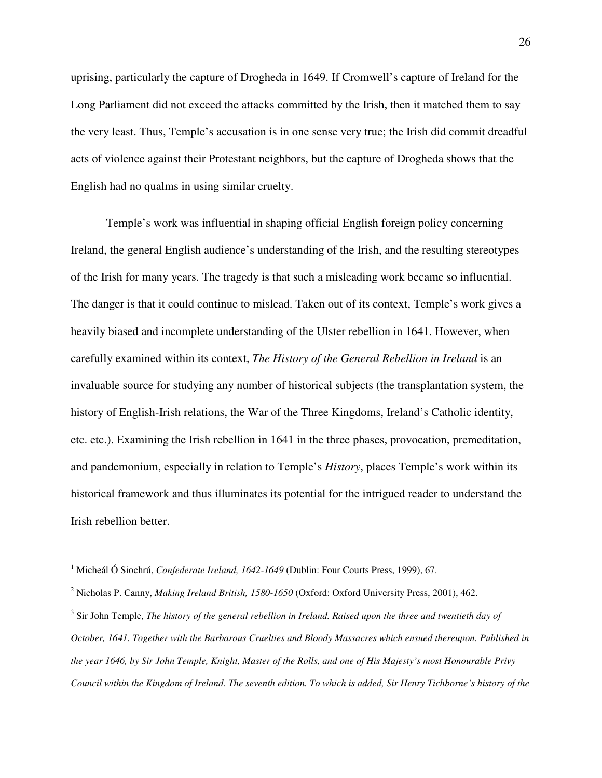uprising, particularly the capture of Drogheda in 1649. If Cromwell's capture of Ireland for the Long Parliament did not exceed the attacks committed by the Irish, then it matched them to say the very least. Thus, Temple's accusation is in one sense very true; the Irish did commit dreadful acts of violence against their Protestant neighbors, but the capture of Drogheda shows that the English had no qualms in using similar cruelty.

Temple's work was influential in shaping official English foreign policy concerning Ireland, the general English audience's understanding of the Irish, and the resulting stereotypes of the Irish for many years. The tragedy is that such a misleading work became so influential. The danger is that it could continue to mislead. Taken out of its context, Temple's work gives a heavily biased and incomplete understanding of the Ulster rebellion in 1641. However, when carefully examined within its context, *The History of the General Rebellion in Ireland* is an invaluable source for studying any number of historical subjects (the transplantation system, the history of English-Irish relations, the War of the Three Kingdoms, Ireland's Catholic identity, etc. etc.). Examining the Irish rebellion in 1641 in the three phases, provocation, premeditation, and pandemonium, especially in relation to Temple's *History*, places Temple's work within its historical framework and thus illuminates its potential for the intrigued reader to understand the Irish rebellion better.

1

<sup>1</sup> Micheál Ó Siochrú, *Confederate Ireland, 1642-1649* (Dublin: Four Courts Press, 1999), 67.

<sup>2</sup> Nicholas P. Canny, *Making Ireland British, 1580-1650* (Oxford: Oxford University Press, 2001), 462.

<sup>&</sup>lt;sup>3</sup> Sir John Temple, *The history of the general rebellion in Ireland. Raised upon the three and twentieth day of October, 1641. Together with the Barbarous Cruelties and Bloody Massacres which ensued thereupon. Published in the year 1646, by Sir John Temple, Knight, Master of the Rolls, and one of His Majesty's most Honourable Privy Council within the Kingdom of Ireland. The seventh edition. To which is added, Sir Henry Tichborne's history of the*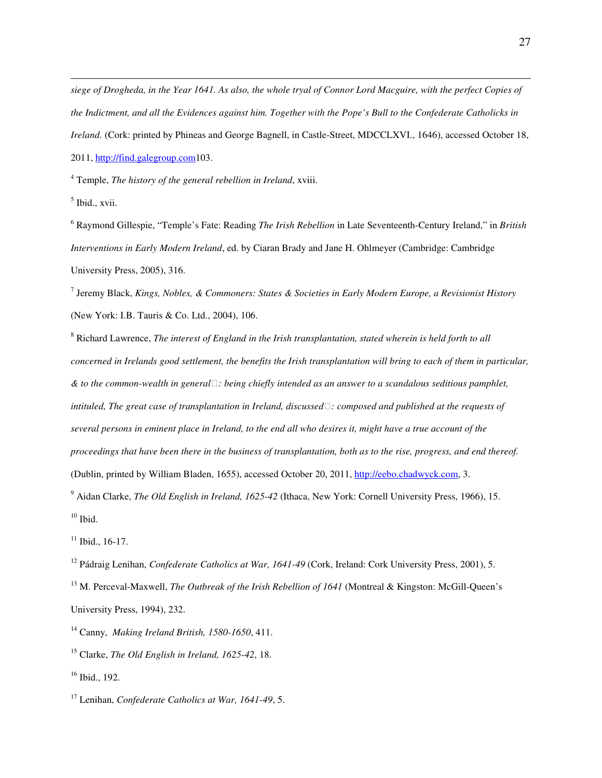*siege of Drogheda, in the Year 1641. As also, the whole tryal of Connor Lord Macguire, with the perfect Copies of the Indictment, and all the Evidences against him. Together with the Pope's Bull to the Confederate Catholicks in Ireland.* (Cork: printed by Phineas and George Bagnell, in Castle-Street, MDCCLXVI., 1646), accessed October 18, 2011, http://find.galegroup.com103.

4 Temple, *The history of the general rebellion in Ireland*, xviii.

<sup>5</sup> Ibid., xvii.

 $\overline{a}$ 

6 Raymond Gillespie, "Temple's Fate: Reading *The Irish Rebellion* in Late Seventeenth-Century Ireland," in *British Interventions in Early Modern Ireland*, ed. by Ciaran Brady and Jane H. Ohlmeyer (Cambridge: Cambridge University Press, 2005), 316.

7 Jeremy Black, *Kings, Nobles, & Commoners: States & Societies in Early Modern Europe, a Revisionist History* (New York: I.B. Tauris & Co. Ltd., 2004), 106.

<sup>8</sup> Richard Lawrence, *The interest of England in the Irish transplantation, stated wherein is held forth to all concerned in Irelands good settlement, the benefits the Irish transplantation will bring to each of them in particular, & to the common-wealth in general: being chiefly intended as an answer to a scandalous seditious pamphlet, intituled, The great case of transplantation in Ireland, discussed: composed and published at the requests of several persons in eminent place in Ireland, to the end all who desires it, might have a true account of the proceedings that have been there in the business of transplantation, both as to the rise, progress, and end thereof.* (Dublin, printed by William Bladen, 1655), accessed October 20, 2011, http://eebo.chadwyck.com, 3.

<sup>9</sup> Aidan Clarke, *The Old English in Ireland, 1625-42* (Ithaca, New York: Cornell University Press, 1966), 15.  $10$  Ibid.

 $11$  Ibid., 16-17.

<sup>12</sup> Pádraig Lenihan, *Confederate Catholics at War, 1641-49* (Cork, Ireland: Cork University Press, 2001), 5.

<sup>13</sup> M. Perceval-Maxwell, *The Outbreak of the Irish Rebellion of 1641* (Montreal & Kingston: McGill-Oueen's University Press, 1994), 232.

<sup>14</sup> Canny, *Making Ireland British, 1580-1650*, 411.

<sup>15</sup> Clarke, *The Old English in Ireland, 1625-42*, 18.

<sup>16</sup> Ibid., 192.

<sup>17</sup> Lenihan, *Confederate Catholics at War, 1641-49*, 5.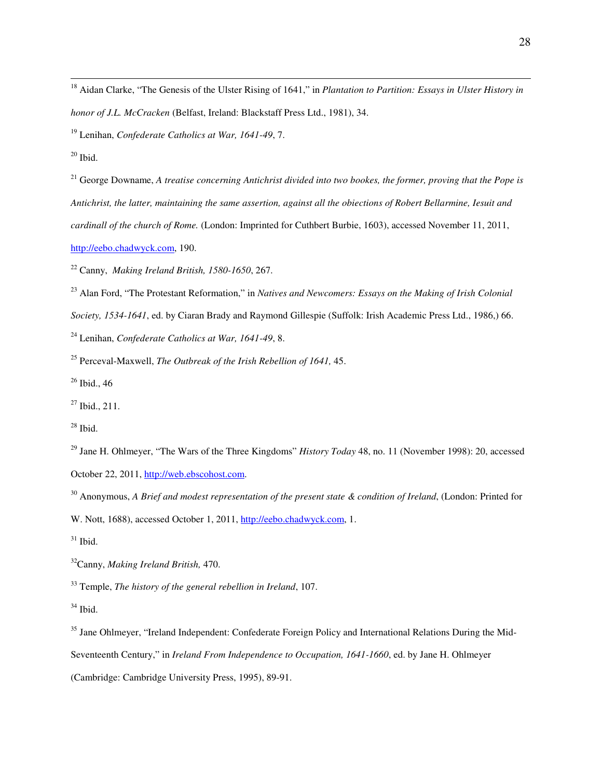<sup>18</sup> Aidan Clarke, "The Genesis of the Ulster Rising of 1641," in *Plantation to Partition: Essays in Ulster History in honor of J.L. McCracken* (Belfast, Ireland: Blackstaff Press Ltd., 1981), 34.

<sup>19</sup> Lenihan, *Confederate Catholics at War, 1641-49*, 7.

 $\overline{a}$ 

<sup>21</sup> George Downame, *A treatise concerning Antichrist divided into two bookes, the former, proving that the Pope is Antichrist, the latter, maintaining the same assertion, against all the obiections of Robert Bellarmine, Iesuit and cardinall of the church of Rome.* (London: Imprinted for Cuthbert Burbie, 1603), accessed November 11, 2011, http://eebo.chadwyck.com, 190.

<sup>22</sup> Canny, *Making Ireland British, 1580-1650*, 267.

<sup>23</sup> Alan Ford, "The Protestant Reformation," in *Natives and Newcomers: Essays on the Making of Irish Colonial Society, 1534-1641*, ed. by Ciaran Brady and Raymond Gillespie (Suffolk: Irish Academic Press Ltd., 1986,) 66.

<sup>24</sup> Lenihan, *Confederate Catholics at War, 1641-49*, 8.

<sup>25</sup> Perceval-Maxwell, *The Outbreak of the Irish Rebellion of 1641,* 45.

 $26$  Ibid., 46

W. Nott, 1688), accessed October 1, 2011, http://eebo.chadwyck.com, 1.

 $31$  Ibid.

<sup>32</sup>Canny, *Making Ireland British,* 470.

<sup>33</sup> Temple, *The history of the general rebellion in Ireland*, 107.

 $34$  Ibid.

<sup>35</sup> Jane Ohlmeyer, "Ireland Independent: Confederate Foreign Policy and International Relations During the Mid-Seventeenth Century," in *Ireland From Independence to Occupation, 1641-1660*, ed. by Jane H. Ohlmeyer (Cambridge: Cambridge University Press, 1995), 89-91.

 $20$  Ibid.

<sup>27</sup> Ibid., 211.

 $28$  Ibid.

<sup>29</sup> Jane H. Ohlmeyer, "The Wars of the Three Kingdoms" *History Today* 48, no. 11 (November 1998): 20, accessed October 22, 2011, http://web.ebscohost.com.

<sup>30</sup> Anonymous, *A Brief and modest representation of the present state & condition of Ireland*, (London: Printed for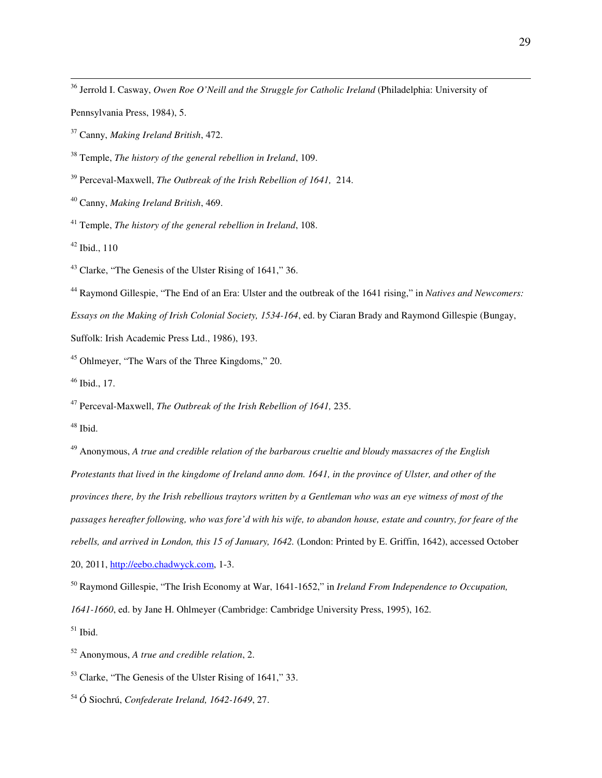Jerrold I. Casway, *Owen Roe O'Neill and the Struggle for Catholic Ireland* (Philadelphia: University of

Pennsylvania Press, 1984), 5.

Canny, *Making Ireland British*, 472.

Temple, *The history of the general rebellion in Ireland*, 109.

Perceval-Maxwell, *The Outbreak of the Irish Rebellion of 1641,* 214.

Canny, *Making Ireland British*, 469.

Temple, *The history of the general rebellion in Ireland*, 108.

Ibid., 110

 $\overline{a}$ 

Clarke, "The Genesis of the Ulster Rising of 1641," 36.

 Raymond Gillespie, "The End of an Era: Ulster and the outbreak of the 1641 rising," in *Natives and Newcomers: Essays on the Making of Irish Colonial Society, 1534-164*, ed. by Ciaran Brady and Raymond Gillespie (Bungay,

Suffolk: Irish Academic Press Ltd., 1986), 193.

Ohlmeyer, "The Wars of the Three Kingdoms," 20.

Ibid., 17.

Perceval-Maxwell, *The Outbreak of the Irish Rebellion of 1641,* 235.

Ibid.

 Anonymous, *A true and credible relation of the barbarous crueltie and bloudy massacres of the English Protestants that lived in the kingdome of Ireland anno dom. 1641, in the province of Ulster, and other of the provinces there, by the Irish rebellious traytors written by a Gentleman who was an eye witness of most of the passages hereafter following, who was fore'd with his wife, to abandon house, estate and country, for feare of the rebells, and arrived in London, this 15 of January, 1642.* (London: Printed by E. Griffin, 1642), accessed October 20, 2011, http://eebo.chadwyck.com, 1-3.

 Raymond Gillespie, "The Irish Economy at War, 1641-1652," in *Ireland From Independence to Occupation, 1641-1660*, ed. by Jane H. Ohlmeyer (Cambridge: Cambridge University Press, 1995), 162. Ibid.

Anonymous, *A true and credible relation*, 2.

Clarke, "The Genesis of the Ulster Rising of 1641," 33.

Ó Siochrú, *Confederate Ireland, 1642-1649*, 27.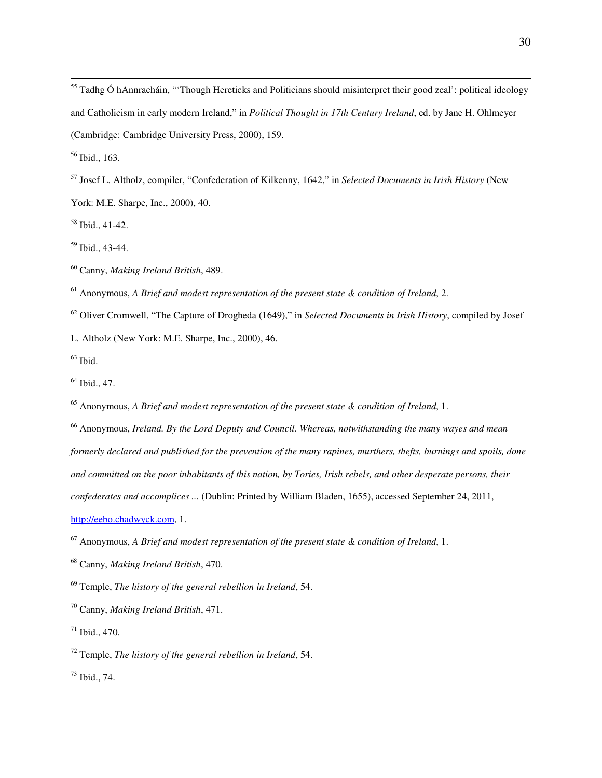<sup>55</sup> Tadhg Ó hAnnracháin, "'Though Hereticks and Politicians should misinterpret their good zeal': political ideology and Catholicism in early modern Ireland," in *Political Thought in 17th Century Ireland*, ed. by Jane H. Ohlmeyer (Cambridge: Cambridge University Press, 2000), 159.

Ibid., 163.

 $\overline{a}$ 

Josef L. Altholz, compiler, "Confederation of Kilkenny, 1642," in *Selected Documents in Irish History* (New

York: M.E. Sharpe, Inc., 2000), 40.

Ibid., 41-42.

Ibid., 43-44.

Canny, *Making Ireland British*, 489.

Anonymous, *A Brief and modest representation of the present state & condition of Ireland*, 2.

Oliver Cromwell, "The Capture of Drogheda (1649)," in *Selected Documents in Irish History*, compiled by Josef

L. Altholz (New York: M.E. Sharpe, Inc., 2000), 46.

Ibid.

Ibid., 47.

Anonymous, *A Brief and modest representation of the present state & condition of Ireland*, 1.

 Anonymous, *Ireland. By the Lord Deputy and Council. Whereas, notwithstanding the many wayes and mean formerly declared and published for the prevention of the many rapines, murthers, thefts, burnings and spoils, done and committed on the poor inhabitants of this nation, by Tories, Irish rebels, and other desperate persons, their confederates and accomplices ...* (Dublin: Printed by William Bladen, 1655), accessed September 24, 2011,

http://eebo.chadwyck.com, 1.

Anonymous, *A Brief and modest representation of the present state & condition of Ireland*, 1.

Canny, *Making Ireland British*, 470.

Temple, *The history of the general rebellion in Ireland*, 54.

Canny, *Making Ireland British*, 471.

Ibid., 470.

Temple, *The history of the general rebellion in Ireland*, 54.

Ibid., 74.